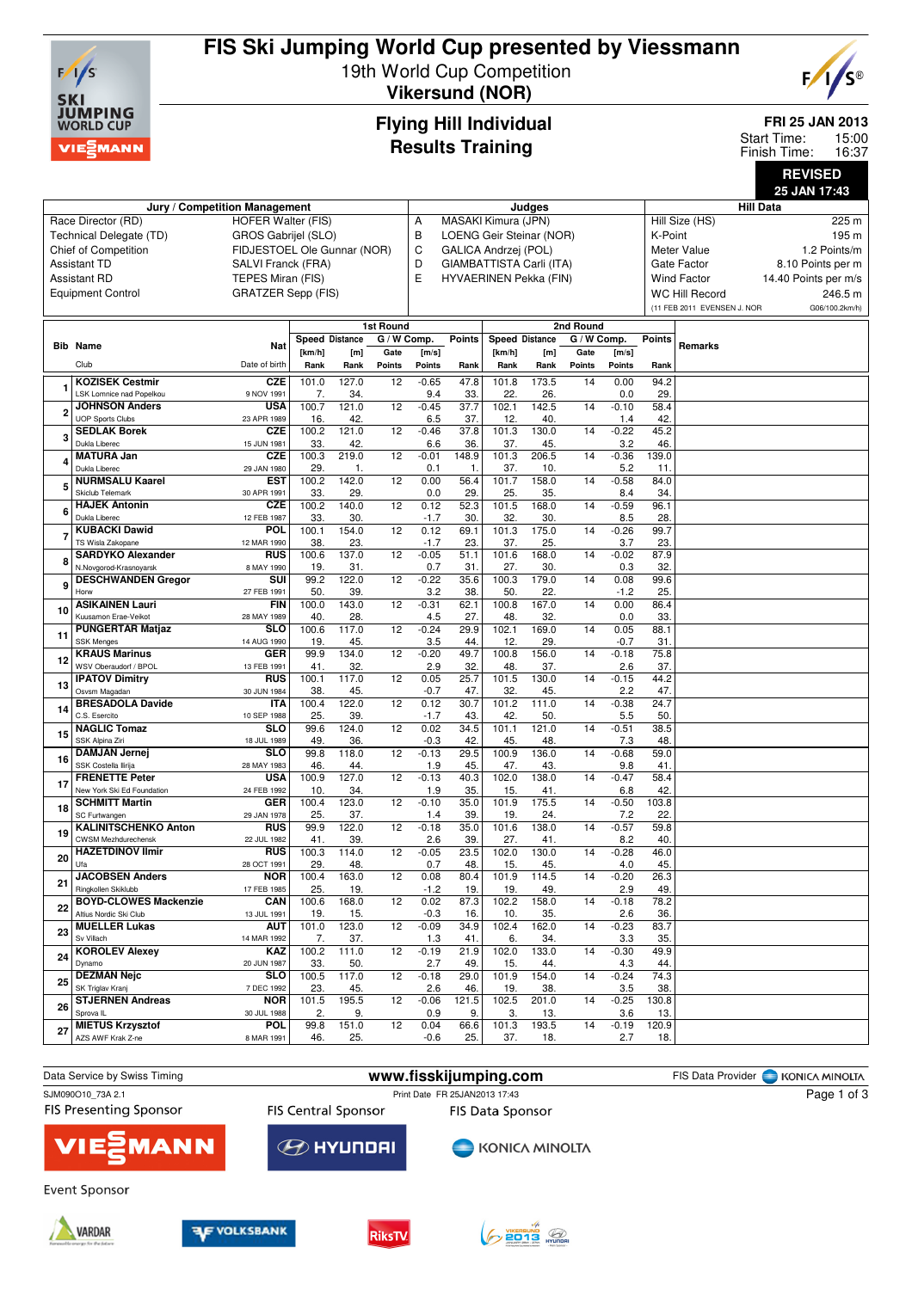

# **FIS Ski Jumping World Cup presented by Viessmann**

19th World Cup Competition



**Vikersund (NOR)**

### **Flying Hill Individual Results Training**

### **FRI 25 JAN 2013**

15:00 16:37 Start Time: Finish Time:

#### **REVISED 25 JAN 17:43**

| Jury / Competition Management                              |                                                        |                           |                |              |                 |                                    | Judges      |                       |              |             |                         |                                            | <b>Hill Data</b>                              |  |  |  |
|------------------------------------------------------------|--------------------------------------------------------|---------------------------|----------------|--------------|-----------------|------------------------------------|-------------|-----------------------|--------------|-------------|-------------------------|--------------------------------------------|-----------------------------------------------|--|--|--|
| Race Director (RD)<br><b>HOFER Walter (FIS)</b>            |                                                        |                           |                |              |                 | MASAKI Kimura (JPN)<br>Α           |             |                       |              |             | Hill Size (HS)<br>225 m |                                            |                                               |  |  |  |
| Technical Delegate (TD)<br>GROS Gabrijel (SLO)             |                                                        |                           |                |              |                 | B<br>LOENG Geir Steinar (NOR)      |             |                       |              |             |                         | K-Point<br>195 m                           |                                               |  |  |  |
| <b>Chief of Competition</b><br>FIDJESTOEL Ole Gunnar (NOR) |                                                        |                           |                |              |                 | C<br><b>GALICA Andrzej (POL)</b>   |             |                       |              |             |                         | 1.2 Points/m<br>Meter Value                |                                               |  |  |  |
| <b>Assistant TD</b><br>SALVI Franck (FRA)                  |                                                        |                           |                |              |                 |                                    |             |                       |              |             |                         |                                            |                                               |  |  |  |
|                                                            |                                                        |                           |                |              |                 | D<br>GIAMBATTISTA Carli (ITA)      |             |                       |              |             |                         | Gate Factor<br>8.10 Points per m           |                                               |  |  |  |
| TEPES Miran (FIS)<br><b>Assistant RD</b>                   |                                                        |                           |                |              |                 | E<br><b>HYVAERINEN Pekka (FIN)</b> |             |                       |              |             |                         | <b>Wind Factor</b><br>14.40 Points per m/s |                                               |  |  |  |
|                                                            | <b>Equipment Control</b>                               | <b>GRATZER Sepp (FIS)</b> |                |              |                 |                                    |             |                       |              |             |                         | <b>WC Hill Record</b><br>246.5 m           |                                               |  |  |  |
|                                                            |                                                        |                           |                |              |                 |                                    |             |                       |              |             |                         |                                            | (11 FEB 2011 EVENSEN J. NOR<br>G06/100.2km/h) |  |  |  |
|                                                            |                                                        |                           |                |              | 1st Round       |                                    |             |                       |              | 2nd Round   |                         |                                            |                                               |  |  |  |
|                                                            |                                                        |                           | Speed Distance |              | G / W Comp.     |                                    | Points      | <b>Speed Distance</b> |              | G / W Comp. |                         | Points                                     |                                               |  |  |  |
|                                                            | <b>Bib Name</b>                                        | Nat                       | [km/h]         | [m]          | Gate            | [m/s]                              |             | [km/h]                | [m]          | Gate        | [m/s]                   |                                            | Remarks                                       |  |  |  |
|                                                            | Club                                                   | Date of birth             | Rank           | Rank         | Points          | Points                             | Rank        | Rank                  | Rank         | Points      | Points                  | Rank                                       |                                               |  |  |  |
|                                                            | <b>KOZISEK Cestmir</b>                                 | CZE                       | 101.0          | 127.0        | 12              | $-0.65$                            | 47.8        | 101.8                 | 173.5        | 14          | 0.00                    | 94.2                                       |                                               |  |  |  |
|                                                            | <b>LSK Lomnice nad Popelkou</b>                        | 9 NOV 1991                | 7.             | 34.          |                 | 9.4                                | 33.         | 22.                   | 26.          |             | 0.0                     | 29.                                        |                                               |  |  |  |
| $\overline{2}$                                             | <b>JOHNSON Anders</b>                                  | <b>USA</b>                | 100.7          | 121.0        | 12              | $-0.45$                            | 37.7        | 102.1                 | 142.5        | 14          | $-0.10$                 | 58.4                                       |                                               |  |  |  |
|                                                            | <b>UOP Sports Clubs</b>                                | 23 APR 1989               | 16             | 42.          |                 | 6.5                                | 37.         | 12.                   | 40.          |             | 1.4                     | 42                                         |                                               |  |  |  |
| 3                                                          | <b>SEDLAK Borek</b>                                    | <b>CZE</b>                | 100.2          | 121.0        | $\overline{12}$ | $-0.46$                            | 37.8        | 101.3                 | 130.0        | 14          | $-0.22$                 | 45.2                                       |                                               |  |  |  |
|                                                            | Dukla Liberec                                          | 15 JUN 1981               | 33.            | 42           |                 | 6.6                                | 36.         | 37.                   | 45.          |             | 3.2                     | 46.                                        |                                               |  |  |  |
| 4                                                          | <b>MATURA Jan</b><br>Dukla Liberec                     | CZE<br>29 JAN 1980        | 100.3<br>29    | 219.0<br>1.  | 12              | $-0.01$<br>0.1                     | 148.9<br>1. | 101.3<br>37.          | 206.5<br>10. | 14          | $-0.36$<br>5.2          | 139.0<br>11.                               |                                               |  |  |  |
|                                                            | <b>NURMSALU Kaarel</b>                                 | EST                       | 100.2          | 142.0        | 12              | 0.00                               | 56.4        | 101.7                 | 158.0        | 14          | $-0.58$                 | 84.0                                       |                                               |  |  |  |
| 5                                                          | Skiclub Telemark                                       | 30 APR 1991               | 33.            | 29.          |                 | 0.0                                | 29.         | 25.                   | 35.          |             | 8.4                     | 34.                                        |                                               |  |  |  |
|                                                            | <b>HAJEK Antonin</b>                                   | <b>CZE</b>                | 100.2          | 140.0        | 12              | 0.12                               | 52.3        | 101.5                 | 168.0        | 14          | $-0.59$                 | 96.1                                       |                                               |  |  |  |
| 6                                                          | Dukla Liberec                                          | 12 FEB 1987               | 33             | 30           |                 | $-1.7$                             | 30.         | 32.                   | 30.          |             | 8.5                     | 28.                                        |                                               |  |  |  |
| 7                                                          | <b>KUBACKI Dawid</b>                                   | POL                       | 100.1          | 154.0        | 12              | 0.12                               | 69.1        | 101.3                 | 175.0        | 14          | $-0.26$                 | 99.7                                       |                                               |  |  |  |
|                                                            | TS Wisla Zakopane                                      | 12 MAR 1990               | 38.            | 23.          |                 | $-1.7$                             | 23.         | 37.                   | 25.          |             | 3.7                     | 23.                                        |                                               |  |  |  |
| 8                                                          | <b>SARDYKO Alexander</b>                               | <b>RUS</b>                | 100.6          | 137.0        | $\overline{12}$ | $-0.05$                            | 51.1        | 101.6                 | 168.0        | 14          | $-0.02$                 | 87.9                                       |                                               |  |  |  |
|                                                            | N.Novgorod-Krasnoyarsk                                 | 8 MAY 1990                | 19.            | 31.          | 12              | 0.7                                | 31.         | 27.                   | 30.          |             | 0.3                     | 32                                         |                                               |  |  |  |
| 9                                                          | <b>DESCHWANDEN Gregor</b><br>Horw                      | SUI<br>27 FEB 1991        | 99.2<br>50     | 122.0<br>39. |                 | $-0.22$<br>3.2                     | 35.6<br>38. | 100.3<br>50.          | 179.0<br>22. | 14          | 0.08<br>$-1.2$          | 99.6<br>25.                                |                                               |  |  |  |
|                                                            | <b>ASIKAINEN Lauri</b>                                 | FIN                       | 100.0          | 143.0        | $\overline{12}$ | $-0.31$                            | 62.1        | 100.8                 | 167.0        | 14          | 0.00                    | 86.4                                       |                                               |  |  |  |
| 10                                                         | Kuusamon Erae-Veikot                                   | 28 MAY 1989               | 40.            | 28.          |                 | 4.5                                | 27.         | 48.                   | 32.          |             | 0.0                     | 33.                                        |                                               |  |  |  |
|                                                            | <b>PUNGERTAR Matjaz</b>                                | <b>SLO</b>                | 100.6          | 117.0        | $\overline{12}$ | $-0.24$                            | 29.9        | 102.1                 | 169.0        | 14          | 0.05                    | 88.1                                       |                                               |  |  |  |
| 11                                                         | <b>SSK Menges</b>                                      | 14 AUG 1990               | 19.            | 45.          |                 | 3.5                                | 44.         | 12.                   | 29.          |             | $-0.7$                  | 31                                         |                                               |  |  |  |
| 12                                                         | <b>KRAUS Marinus</b>                                   | <b>GER</b>                | 99.9           | 134.0        | $\overline{12}$ | $-0.20$                            | 49.7        | 100.8                 | 156.0        | 14          | $-0.18$                 | 75.8                                       |                                               |  |  |  |
|                                                            | WSV Oberaudorf / BPOL                                  | 13 FEB 1991               | 41             | 32.          |                 | 2.9                                | 32.         | 48.                   | 37.          |             | 2.6                     | 37.                                        |                                               |  |  |  |
| 13                                                         | <b>IPATOV Dimitry</b>                                  | <b>RUS</b>                | 100.1          | 117.0        | 12              | 0.05                               | 25.7        | 101.5                 | 130.0        | 14          | $-0.15$                 | 44.2                                       |                                               |  |  |  |
|                                                            | Osvsm Magadan<br><b>BRESADOLA Davide</b>               | 30 JUN 1984<br>ITA        | 38<br>100.4    | 45.<br>122.0 | 12              | $-0.7$<br>0.12                     | 47.<br>30.7 | 32.<br>101.2          | 45.<br>111.0 | 14          | 2.2<br>$-0.38$          | 47.<br>24.7                                |                                               |  |  |  |
| 14                                                         | C.S. Esercito                                          | 10 SEP 1988               | 25.            | 39.          |                 | $-1.7$                             | 43.         | 42.                   | 50.          |             | 5.5                     | 50                                         |                                               |  |  |  |
|                                                            | <b>NAGLIC Tomaz</b>                                    | <b>SLO</b>                | 99.6           | 124.0        | 12              | 0.02                               | 34.5        | 101.1                 | 121.0        | 14          | $-0.51$                 | 38.5                                       |                                               |  |  |  |
| 15                                                         | SSK Alpina Ziri                                        | 18 JUL 1989               | 49.            | 36.          |                 | $-0.3$                             | 42.         | 45.                   | 48.          |             | 7.3                     | 48.                                        |                                               |  |  |  |
| 16                                                         | <b>DAMJAN Jernej</b>                                   | <b>SLO</b>                | 99.8           | 118.0        | 12              | $-0.13$                            | 29.5        | 100.9                 | 136.0        | 14          | $-0.68$                 | 59.0                                       |                                               |  |  |  |
|                                                            | SSK Costella Ilirija                                   | 28 MAY 1983               | 46             | 44           |                 | 1.9                                | 45.         | 47.                   | 43.          |             | 9.8                     | 41.                                        |                                               |  |  |  |
| 17                                                         | <b>FRENETTE Peter</b>                                  | <b>USA</b>                | 100.9          | 127.0        | 12              | $-0.13$                            | 40.3        | 102.0                 | 138.0        | 14          | $-0.47$                 | 58.4                                       |                                               |  |  |  |
|                                                            | New York Ski Ed Foundation<br><b>SCHMITT Martin</b>    | 24 FEB 1992<br><b>GER</b> | 10.<br>100.4   | 34.<br>123.0 | 12              | 1.9<br>$-0.10$                     | 35.<br>35.0 | 15.<br>101.9          | 41.<br>175.5 | 14          | 6.8<br>$-0.50$          | 42<br>103.8                                |                                               |  |  |  |
| 18                                                         | SC Furtwangen                                          | 29 JAN 1978               | 25.            | 37.          |                 | 1.4                                | 39.         | 19.                   | 24.          |             | 7.2                     | 22.                                        |                                               |  |  |  |
|                                                            | <b>KALINITSCHENKO Anton</b>                            | <b>RUS</b>                | 99.9           | 122.0        | 12              | $-0.18$                            | 35.0        | 101.6                 | 138.0        | 14          | $-0.57$                 | 59.8                                       |                                               |  |  |  |
| 19                                                         | <b>CWSM Mezhdurechensk</b>                             | 22 JUL 1982               | 41             | 39           |                 | 2.6                                | 39.         | 27.                   | 41.          |             | 8.2                     | 40                                         |                                               |  |  |  |
| 20                                                         | <b>HAZETDINOV Ilmir</b>                                | <b>RUS</b>                | 100.3          | 114.0        | $\overline{12}$ | $-0.05$                            | 23.5        | 102.0                 | 130.0        | 14          | $-0.28$                 | 46.0                                       |                                               |  |  |  |
|                                                            | Ufa                                                    | 28 OCT 1991               | 29.            | 48.          |                 | 0.7                                | 48.         | 15.                   | 45.          |             | 4.0                     | 45.                                        |                                               |  |  |  |
| 21                                                         | <b>JACOBSEN Anders</b>                                 | <b>NOR</b>                | 100.4          | 163.0        | $\overline{12}$ | 0.08                               | 80.4        | 101.9                 | 114.5        | 14          | $-0.20$                 | 26.3                                       |                                               |  |  |  |
|                                                            | Ringkollen Skiklubb                                    | 17 FEB 1985               | 25             | 19           |                 | $-1.2$                             | 19.         | 19.                   | 49           |             | 2.9                     | 49.                                        |                                               |  |  |  |
| 22                                                         | <b>BOYD-CLOWES Mackenzie</b><br>Altius Nordic Ski Club | CAN                       | 100.6          | 168.0        | 12              | 0.02                               | 87.3        | 102.2                 | 158.0        | 14          | $-0.18$                 | 78.2                                       |                                               |  |  |  |
|                                                            | <b>MUELLER Lukas</b>                                   | 13 JUL 1991<br><b>AUT</b> | 19.<br>101.0   | 15.<br>123.0 | 12              | $-0.3$<br>$-0.09$                  | 16.<br>34.9 | 10.<br>102.4          | 35.<br>162.0 | 14          | 2.6<br>$-0.23$          | 36.<br>83.7                                |                                               |  |  |  |
| 23                                                         | Sv Villach                                             | 14 MAR 1992               | 7.             | 37.          |                 | 1.3                                | 41.         | 6.                    | 34.          |             | 3.3                     | 35.                                        |                                               |  |  |  |
|                                                            | <b>KOROLEV Alexey</b>                                  | <b>KAZ</b>                | 100.2          | 111.0        | 12              | $-0.19$                            | 21.9        | 102.0                 | 133.0        | 14          | $-0.30$                 | 49.9                                       |                                               |  |  |  |
| 24                                                         | Dynamo                                                 | 20 JUN 1987               | 33.            | 50.          |                 | 2.7                                | 49.         | 15.                   | 44.          |             | 4.3                     | 44.                                        |                                               |  |  |  |
| 25                                                         | <b>DEZMAN Neic</b>                                     | <b>SLO</b>                | 100.5          | 117.0        | 12              | $-0.18$                            | 29.0        | 101.9                 | 154.0        | 14          | $-0.24$                 | 74.3                                       |                                               |  |  |  |
|                                                            | SK Triglav Kranj                                       | 7 DEC 1992                | 23.            | 45.          |                 | 2.6                                | 46.         | 19.                   | 38.          |             | 3.5                     | 38.                                        |                                               |  |  |  |
| 26                                                         | <b>STJERNEN Andreas</b>                                | <b>NOR</b>                | 101.5          | 195.5        | 12              | $-0.06$                            | 121.5       | 102.5                 | 201.0        | 14          | $-0.25$                 | 130.8                                      |                                               |  |  |  |
|                                                            | Sprova <sub>IL</sub><br><b>MIETUS Krzysztof</b>        | 30 JUL 1988<br><b>POL</b> | 2.<br>99.8     | 9.<br>151.0  | 12              | 0.9<br>0.04                        | 9.<br>66.6  | 3.<br>101.3           | 13.<br>193.5 | 14          | 3.6<br>$-0.19$          | 13.<br>120.9                               |                                               |  |  |  |
| 27                                                         | AZS AWF Krak Z-ne                                      | 8 MAR 1991                | 46.            | 25.          |                 | $-0.6$                             | 25.         | 37.                   | 18.          |             | 2.7                     | 18.                                        |                                               |  |  |  |
|                                                            |                                                        |                           |                |              |                 |                                    |             |                       |              |             |                         |                                            |                                               |  |  |  |

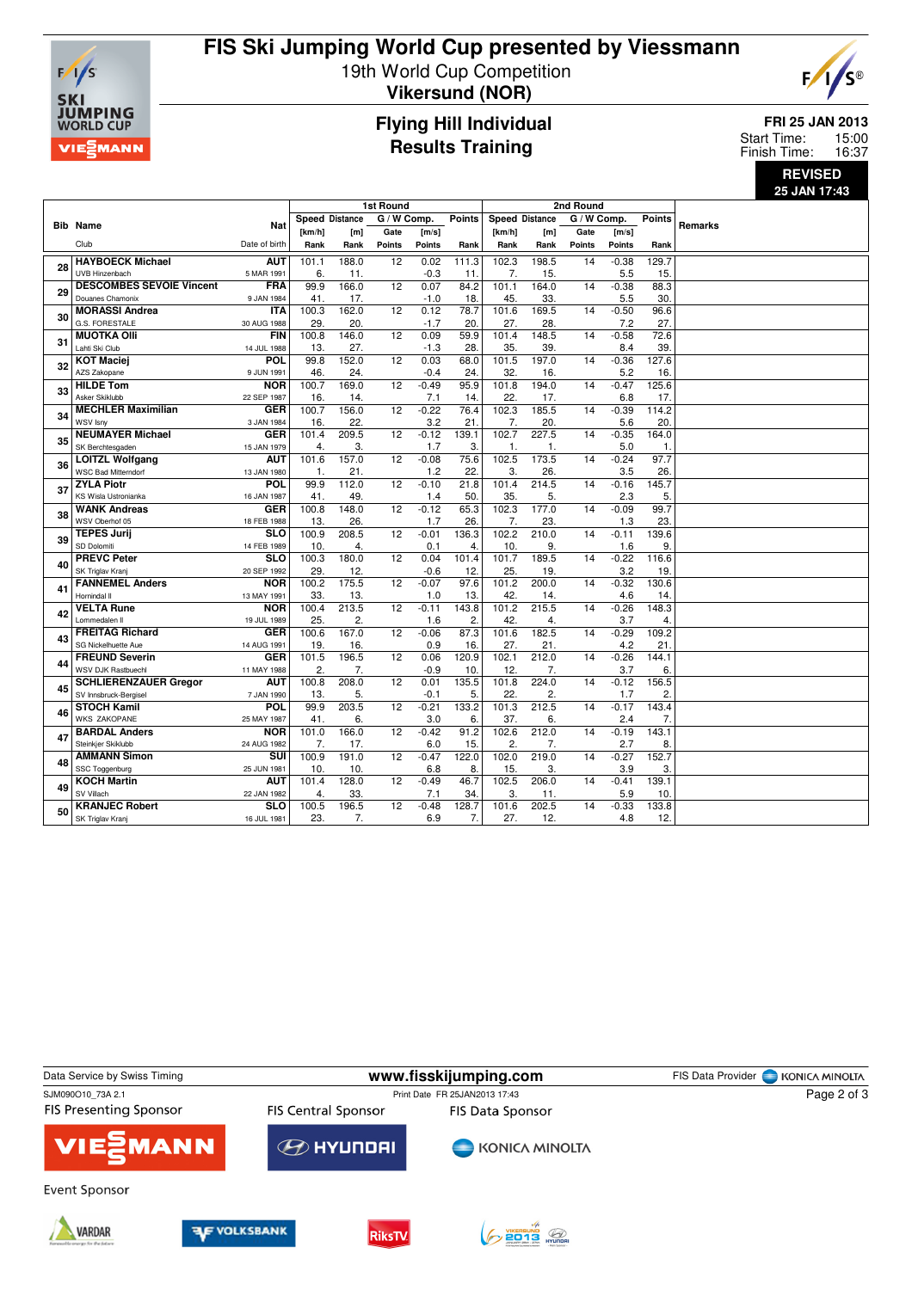

## **FIS Ski Jumping World Cup presented by Viessmann** 19th World Cup Competition



**Vikersund (NOR)**

### **Flying Hill Individual Results Training**

**FRI 25 JAN 2013** 15:00 16:37 Start Time: Finish Time:

**REVISED 25 JAN 17:43**

**Bib Name** Club **Nat** Date of birth **1st Round Speed Distance G / W Comp. [km/h] [m] Rank Rank Gate Points [m/s] Points Points Rank 2nd Round Speed Distance [km/h] [m] Rank Rank G / W Comp. Gate Points [m/s] Points Points Rank Remarks <sup>28</sup> HAYBOECK Michael** UVB Hinzen **AUT** 5 MAR 1991 101.1 188.0 6. 11. 12 0.02 111.3 -0.3 11. 102.3 198.5 7. 15. 14 -0.38 129.7 5.5 15. **<sup>29</sup> DESCOMBES SEVOIE Vincent** Douanes Cha **FRA** 9 JAN 1984  $99.9$  166.0 41. 17. 12 0.07 84.2  $-1.0$  18  $101.1$   $164.0$  $\frac{45.}{101.6}$   $\frac{33}{169.5}$  $14$   $-0.38$  88.3 5.5 30. **<sup>30</sup> MORASSI Andrea** G.S. FORESTALE **ITA** 30 AUG 198 100.3 162.0 29. 20. 12 0.12 78.7  $-1.7$  20 169.5 27. 28. 14 -0.50 96.6 7.2 27. **<sup>31</sup> MUOTKA Olli** Lahti Ski Club **FIN** 14 JUL 1988 100.8 146.0  $\frac{13.}{99.8}$ 12 0.09 59.9 -1.3 28.<br>0.03 68.0 101.4 148.5 35. 39<br>101.5 197.0 14 -0.58 72.6  $8.4$  39<br> $-0.36$  127.6 **<sup>32</sup> KOT Maciej** AZS Zakon **POL** 9 JUN 1991 99.8 152.0<br>46. 24. 24 12 0.03 68.0<br>-0.4 24  $-0.4$ 01.5 197.0<br>32. 16. 16 14 -0.36 127.6 16 **<sup>33</sup> HILDE Tom** Asker Skiklubb **<sup>34</sup> MECHLER Maximilian NOR** 22 SEP 1987 100.7 169.0 16. 14. 12 -0.49 95.9 7.1 14. 101.8 194.0  $\frac{22.}{102.3}$  17 14 -0.47 125.6 6.8 17. WSV Isn **GER** 3 JAN 1984 100.7 156.0 16. 22. 12 -0.22 76.4 3.2 21. 185.5 7. 20. 14 -0.39 114.2 5.6 20. **<sup>35</sup> NEUMAYER Michael** SK Berchtesgaden **GER** 15 JAN 1979 101.4 209.5  $\frac{3.}{157.0}$ 12 -0.12 139.1 1.7 3. 102.7 227.5 1. 1. 14 -0.35 164.0  $\frac{5.0}{0.24}$  97. **<sup>36</sup> LOITZL Wolfgang** WSC Bad Mitterno **AUT** 13 JAN 1980  $101.6$ 21 12 -0.08 75.6 1.2 22. 102.5 173.5 3. 26.  $14 - 0.24$ 3.5 26. **<sup>37</sup> ZYLA Piotr** KS Wisla Ustronianka **POL** 16 JAN 1987 99.9 112.0 41. 49. 12 -0.10 21.8 1.4 50. 101.4 214.5  $\frac{35.}{102.3}$  177 14 -0.16 145.7 2.3 5. **<sup>38</sup> WANK Andreas** WSV Oberhof 05 **GER** 18 FEB 19 100.8 148.0 13. 26. 12 -0.12 65.3 1.7 26.  $177.0$ 23 14 -0.09 99.7 1.3 23. **<sup>39</sup> TEPES Jurij** SD Dolomiti **SLO** 14 FEB 19 100.9 208.5  $\frac{10.}{10.3}$  180.0 12 -0.01 136.3  $\frac{0.1}{0.04}$  101.4 102.2 210.0 10. 9.<br>101.7 189.5 14 -0.11 139.6 1.6 9. **<sup>40</sup> PREVC Peter** SK Triglav Kranj **SLO** 20 SEP 19  $100.3$  $\frac{29.}{100.2}$  12 12 0.04 101.4  $-0.6$  12<br>0.07 976 189.5  $\frac{25.}{12}$  19. 14 -0.22 116.6  $\frac{3.2}{132}$  19 **<sup>41</sup> FANNEMEL Anders** Hornindal Il **NOR** 13 MAY 1991 00.2 175.5<br>33. 13. 33. 13.  $\frac{12}{10}$  - 0.07 1.0 13.  $\frac{101.2}{42}$ 42. 14. 14 -0.32 130.6<br>46 14 4.6 14. **<sup>42</sup> VELTA Rune 43 FREITAG Richard**<br> **43 FREITAG Richard NOR** 19 JUL 100.4 213.5 25. 2. 12 -0.11 143.8 1.6 2.<br>06 87.3 101.2 215.5 42. 4.<br>1.6 182.5 14 -0.26 148.3  $\frac{3.7}{29}$  109.2 SG Nickelhuette Aue **GER** 14 AUG 1991 100.6 167.0<br>19. 16. 19. 16.  $12 -0.06$ <br>0.9 16. 101.6<br>.27 27. 21. 14 -0.29 109.2  $4.2$ **<sup>44</sup> FREUND Severin 19 WSV DJK Rastbuechl<br>45 SCHLIERENZAUER Gregor**<br>SV Innehruck Berginal **GER** 11 MAY 1988 101.5 196.5 2. 7. 12 0.06 120.9  $\frac{-0.9}{0.01}$  10 102.1 212.0 12. 7. 14 -0.26 144.1  $\frac{3.7}{2.12}$  6. SV Innsbruck-Bergisel **AUT** 7 JAN 1990 100.8 208.0 13. 12 0.01 135.5  $-0.1$ 101.8 224.0 22. 2 14 - 0.12 156.5 1.7 **<sup>46</sup> STOCH Kamil** WKS ZAKOPANE **<sup>47</sup> BARDAL Anders POL** 25 MAY 1987 99.9 203.5  $\frac{41.6}{101.0}$  166. 12 -0.21 133.2  $\frac{3.0}{42}$  6 101.3 212.5  $\frac{37.}{102.6}$  212.0 14 -0.17 143.4 2.4 7<br>0.19 143.1 .<br>Steinkjer Skiklubb **NOR** 24 AUG 198 166.0 7. 17. 12 -0.42 91.2  $6.0$  $\frac{2.6}{2.}$  212.0 2. 7. 14 - 0.19 143.1<br>2.7 8  $2.7$ **<sup>48</sup> AMMANN Simon** SSC Toggenburg **SUI** 25 JUN 1981 100.9 191.0  $\frac{10.}{14}$   $\frac{10.}{128.0}$ 12 -0.47 122.0  $\frac{6.8}{1.49}$   $\frac{8}{46}$ 102.0 219.0 15. 3. 14 -0.27 152.7  $\frac{3.9}{1.41}$   $\frac{3}{139}$ **<sup>49</sup> KOCH Martin** SV Villach **AUT** 22 JAN 1982  $101.4$ 4. 33.  $\frac{12}{71}$ 34 102.5 206.0 3. 11.  $\frac{14}{14}$   $\frac{-0.41}{59}$   $\frac{139}{10}$ 5.9 10. **<sup>50</sup> KRANJEC Robert** SK Triglav Kranj **SLO** 16 JUL 1981 100.5 196.5 23. 7. 12 -0.48 128.7 6.9 7. 101.6 202.5 27. 12. 14 -0.33 133.8 4.8 12.